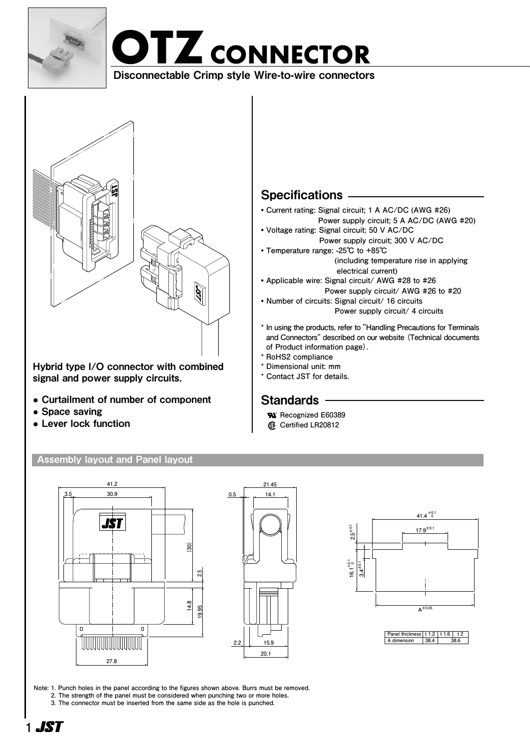

# **OTZCONNECTOR OTZCONNECTOR**

Disconnectable Crimp style Wire-to-wire connectors Disconnectable Crimp style Wire-to-wire connectors



Hybrid type I/O connector with combined signal and power supply circuits.

- **●** Curtailment of number of component
- **●** Space saving
- **●** Lever lock function

#### Assembly layout and Panel layout







**Note: 1. Punch holes in the panel according to the figures shown above. Burrs must be removed. 2. The strength of the panel must be considered when punching two or more holes. 3. The connector must be inserted from the same side as the hole is punched.**

### **Specifications**

- **• Current rating: Signal circuit; 1 A AC/DC (AWG #26)**
	- **Power supply circuit; 5 A AC/DC (AWG #20)**
- **• Voltage rating: Signal circuit; 50 V AC/DC Power supply circuit; 300 V AC/DC**
- **• Temperature range: -25℃ to +85℃ (including temperature rise in applying electrical current)**
- **• Applicable wire: Signal circuit/ AWG #28 to #26 Power supply circuit/ AWG #26 to #20**
- **• Number of circuits: Signal circuit/ 16 circuits Power supply circuit/ 4 circuits**
- **\* In using the products, refer to "Handling Precautions for Terminals and Connectors" described on our website (Technical documents of Product information page).**
- **\* RoHS2 compliance**
- **\* Dimensional unit: mm**
- **\* Contact JST for details.**

### **Standards**

- **Recognized E60389**
- **Certified LR20812**

- -
	-
	-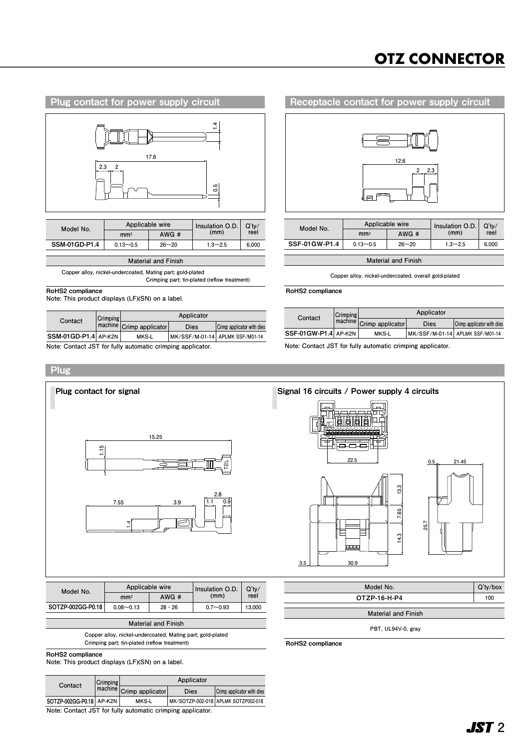### **OTZ CONNECTOR**

**APLMK SSF/M01-14**



**SSM-01GD-P1.4 AP-K2N MKS-L Contact Crimping Dies Crimp applicator with dies AP-K2N MK/SSF/M-01-14 Crimp applicator APLMK SSF/M01-14**

**Applicator**



| Model No.     |                 | Applicable wire | Insulation O.D. | $Q'$ tv/<br>reel |  |
|---------------|-----------------|-----------------|-----------------|------------------|--|
|               | mm <sup>2</sup> | AWG#            | (mm)            |                  |  |
| SSF-01GW-P1.4 | $0.13 - 0.5$    | $26 - 20$       | $1.3 - 2.5$     | 6.000            |  |
|               |                 |                 |                 |                  |  |

**Material and Finish Applicator**

 $C$ opper alloy, nickel-undercoated, overall gold-plated

RoHS2 compliance SOTZP-002GG-P0.18 MKS-LOCAGG-P0.18 MKS-LOCAGG-P1.4 MKS-LOCAGG-P1.4 MKS-LOCAGG-P1.4 MKS-LOCAGG-P1.4 MKS-LOCAGG-P1.4 MKS-LOCAGG-P1.4 MKS-LOCAGG-P1.4 MKS-LOCAGG-P1.4 MKS-LOCAGG-P1.4 MKS-LOCAGG-P1.4 MKS-LOCAGG **AP-K2N MK/SSF/M-01-14**

|  | Contact              | Crimping | Applicator               |      |                                 |
|--|----------------------|----------|--------------------------|------|---------------------------------|
|  |                      |          | machine Crimp applicator | Dies | Crimp applicator with dies      |
|  | SSF-01GW-P1.4 AP-K2N |          | MKS-L                    |      | MK/SSF/M-01-14 APLMK SSF/M01-14 |

**Note: Contact JST for fully automatic crimping applicator. Note: Contact JST for fully automatic crimping applicator.**



RoHS2 compliance

**Copper alloy, nickel-undercoated, Mating part; gold-plated Crimping part; tin-plated (reflow treatment)**

RoHS2 compliance

**Note: This product displays (LF)(SN) on a label.**

| Contact                                                       | Crimping | Applicator               |      |                                     |  |
|---------------------------------------------------------------|----------|--------------------------|------|-------------------------------------|--|
|                                                               |          | machine Crimp applicator | Dies | Crimp applicator with dies          |  |
| SOTZP-002GG-P0.18 AP-K2N                                      |          | MKS-L                    |      | MK/SOTZP-002-018 APLMK SOTZP002-018 |  |
| Matar Osata at 107 facility arrivantile according agaillantic |          |                          |      |                                     |  |

**Note: Contact JST for fully automatic crimping applicator.**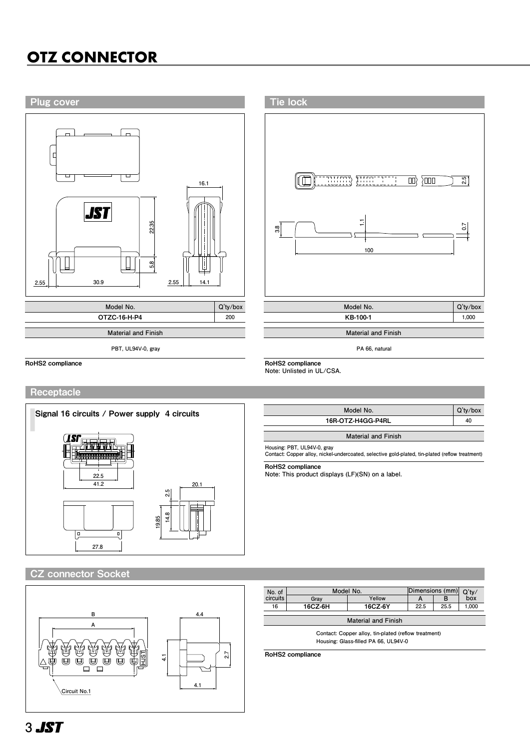## **OTZ CONNECTOR OTZ CONNECTOR**



#### Receptacle



| Model No.         | $Q'$ ty/box |
|-------------------|-------------|
| 16R-OTZ-H4GG-P4RL | 40          |
|                   |             |

**Material and Finish**

**Housing: PBT, UL94V-0, gray Contact: Copper alloy, nickel-undercoated, selective gold-plated, tin-plated (reflow treatment)**

RoHS2 compliance

**Note: This product displays (LF)(SN) on a label.**

#### CZ connector Socket



| No. of                     | Model No. |         | Dimensions (mm) |      |       |  |  |
|----------------------------|-----------|---------|-----------------|------|-------|--|--|
| circuits                   | Grav      | Yellow  |                 | в    | box   |  |  |
| 16                         | 16CZ-6H   | 16CZ-6Y | 22.5            | 25.5 | 1.000 |  |  |
|                            |           |         |                 |      |       |  |  |
| <b>Material and Finish</b> |           |         |                 |      |       |  |  |

**Contact: Copper alloy, tin-plated (reflow treatment) Housing: Glass-filled PA 66, UL94V-0**

RoHS2 compliance